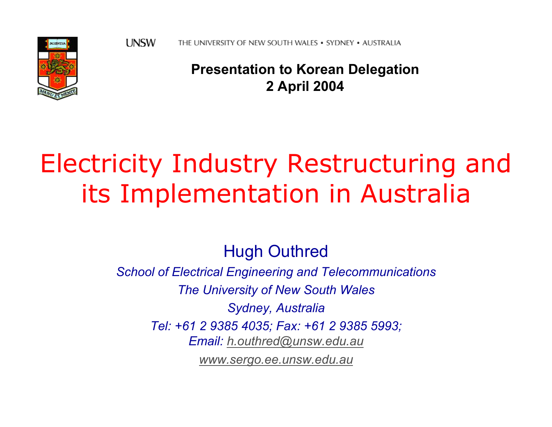

#### **Presentation to Korean Delegation 2 April 2004**

## Electricity Industry Restructuring and its Implementation in Australia

Hugh Outhred

*School of Electrical Engineering and Telecommunications The University of New South Wales Sydney, Australia Tel: +61 2 9385 4035; Fax: +61 2 9385 5993; Email: [h.outhred@unsw.edu.au](mailto:h.outhred@unsw.edu.au)*

*[www.sergo.ee.unsw.edu.au](http://www.sergo.ee.unsw.edu.au/)*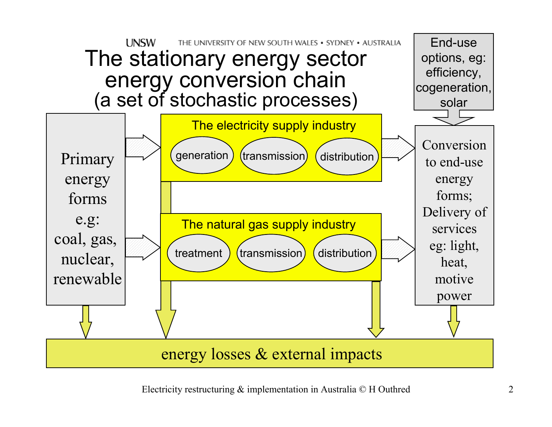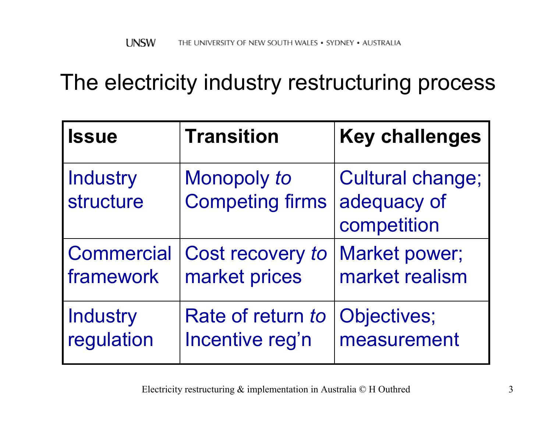### The electricity industry restructuring process

| <b>Issue</b>                 | <b>Transition</b>                     | <b>Key challenges</b>                                 |
|------------------------------|---------------------------------------|-------------------------------------------------------|
| <b>Industry</b><br>structure | Monopoly to<br><b>Competing firms</b> | <b>Cultural change;</b><br>adequacy of<br>competition |
| <b>Commercial</b>            | Cost recovery to                      | Market power;                                         |
| framework                    | market prices                         | market realism                                        |
| Industry                     | Rate of return to                     | Objectives;                                           |
| regulation                   | Incentive reg'n                       | measurement                                           |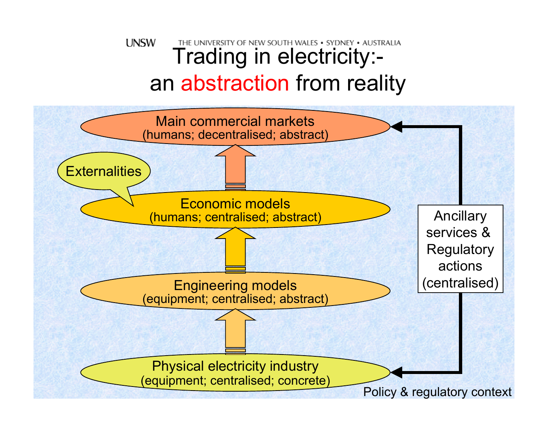#### **UNSW** THE UNIVERSITY OF NEW SOUTH WALES . SYDNEY . AUSTRALIA Trading in electricity: an abstraction from reality

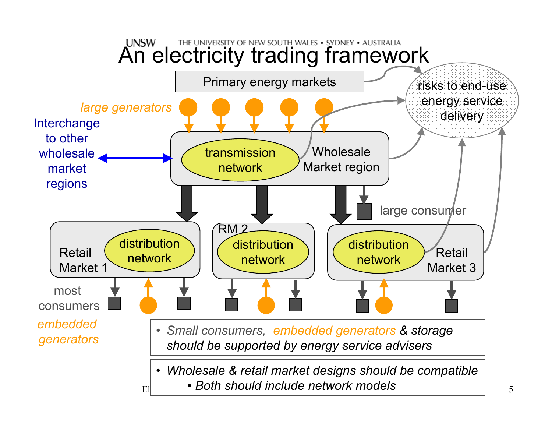#### **LINSW** THE UNIVERSITY OF NEW SOUTH WALES . SYDNEY . AUSTRALIA An electricity trading framework

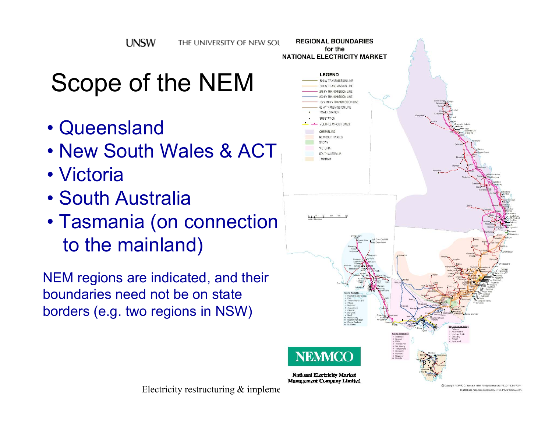**LINSW** THE UNIVERSITY OF NEW SOL

## Scope of the NEM

- Queensland
- New South Wales & ACT
- Victoria
- South Australia
- Tasmania (on connection to the mainland)

NEM regions are indicated, and their boundaries need not be on state borders (e.g. two regions in NSW)

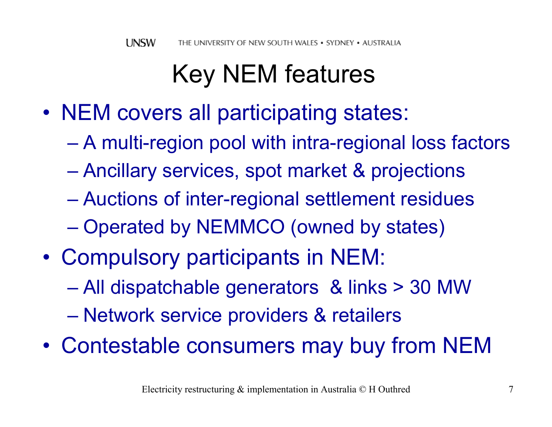## Key NEM features

- NEM covers all participating states:
	- $\mathcal{L}_{\mathcal{A}}$ A multi-region pool with intra-regional loss factors
	- $\mathcal{L}_{\mathcal{A}}$  , and the set of the set of the set of the set of the set of the set of the set of the set of the set of the set of the set of the set of the set of the set of the set of the set of the set of the set of th Ancillary services, spot market & projections
	- Auctions of inter-regional settlement residues
	- Operated by NEMMCO (owned by states)
- • Compulsory participants in NEM:
	- $\mathcal{L}_{\mathcal{A}}$  , and the set of the set of the set of the set of the set of the set of the set of the set of the set of the set of the set of the set of the set of the set of the set of the set of the set of the set of th All dispatchable generators & links > 30 MW
	- Network service providers & retailers
- •Contestable consumers may buy from NEM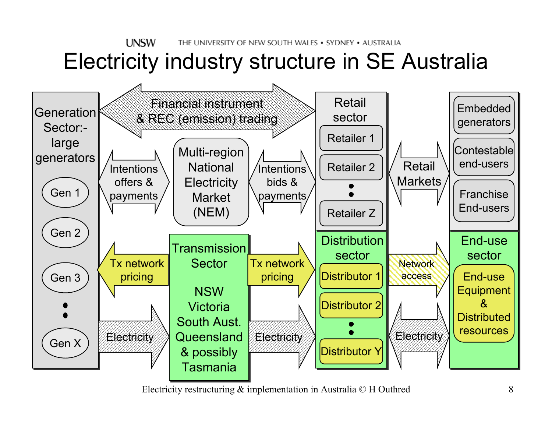#### **LINSW** THE UNIVERSITY OF NEW SOUTH WALES . SYDNEY . AUSTRALIA Electricity industry structure in SE Australia

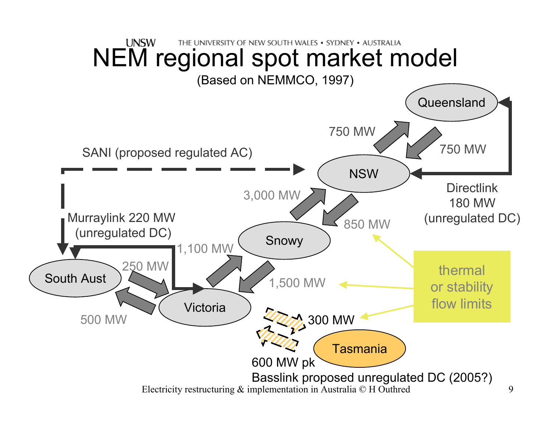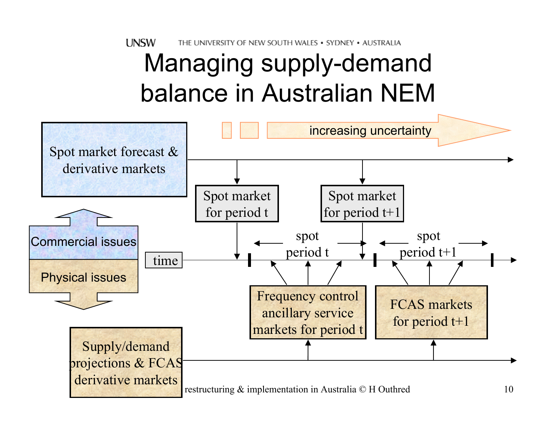**LINSW** THE UNIVERSITY OF NEW SOUTH WALES • SYDNEY • AUSTRALIA

## Managing supply-demand balance in Australian NEM

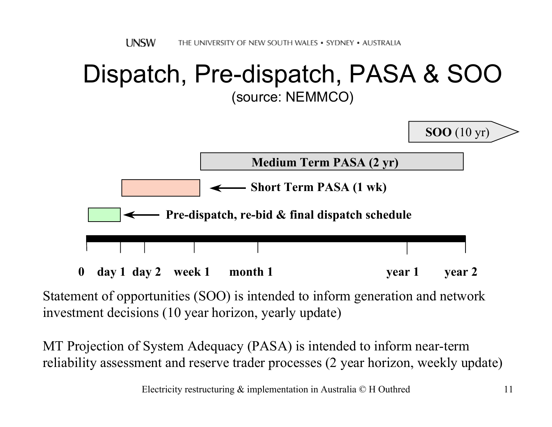#### Dispatch, Pre-dispatch, PASA & SOO (source: NEMMCO)



Statement of opportunities (SOO) is intended to inform generation and network investment decisions (10 year horizon, yearly update)

MT Projection of System Adequacy (PASA) is intended to inform near-term reliability assessment and reserve trader processes (2 year horizon, weekly update)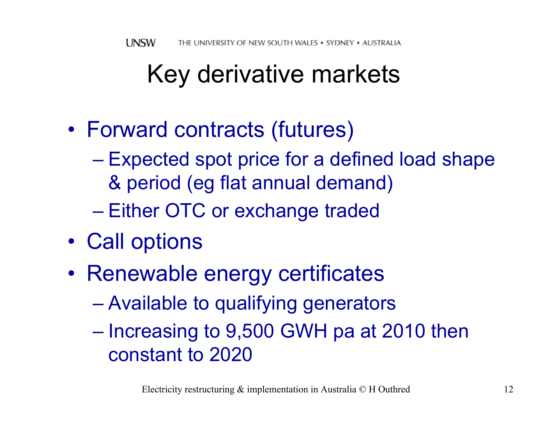## Key derivative markets

- • Forward contracts (futures)
	- $\mathcal{L}_{\mathcal{A}}$  Expected spot price for a defined load shape & period (eg flat annual demand)
	- Either OTC or exchange traded
- •Call options
- •• Renewable energy certificates
	- $\mathcal{L}_{\mathcal{A}}$  , and the set of the set of the set of the set of the set of the set of the set of the set of the set of the set of the set of the set of the set of the set of the set of the set of the set of the set of th Available to qualifying generators
	- – $-$  Increasing to 9,500 GWH pa at 2010 then constant to 2020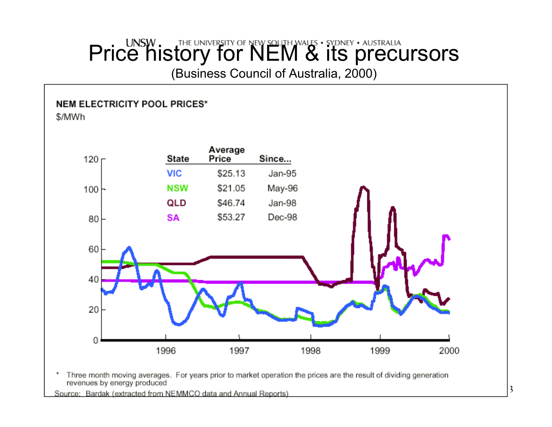## Price history for NEM & its precursors

(Business Council of Australia, 2000)

#### NEM ELECTRICITY POOL PRICES\*

\$/MWh



Three month moving averages. For years prior to market operation the prices are the result of dividing generation ź. revenues by energy produced

Electricity restructuring processes Australia Control of the implementation in Australia Control of Australia Control of Australia Control of Australia Control of Australia Control of Australia Control of Australia Control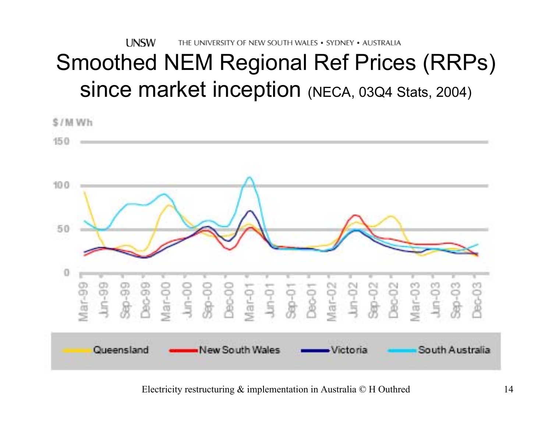**LINSW** THE UNIVERSITY OF NEW SOUTH WALES . SYDNEY . AUSTRALIA

### Smoothed NEM Regional Ref Prices (RRPs) since market inception (NECA, 03Q4 Stats, 2004)

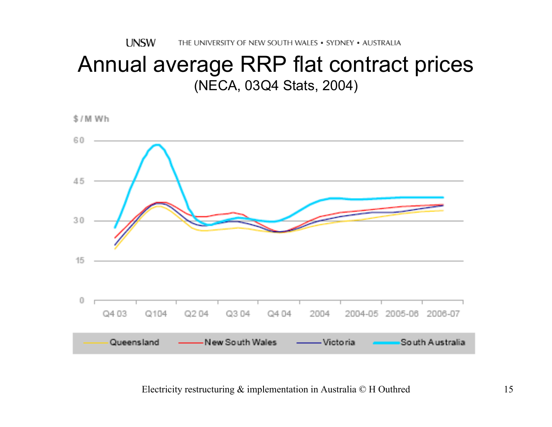**UNSW** THE UNIVERSITY OF NEW SOUTH WALES • SYDNEY • AUSTRALIA

#### Annual average RRP flat contract prices (NECA, 03Q4 Stats, 2004)

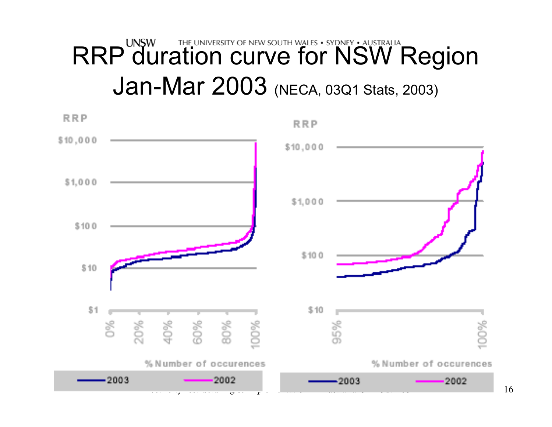# RRP duration curve for NSW Region Jan-Mar 2003 (NECA, 03Q1 Stats, 2003)

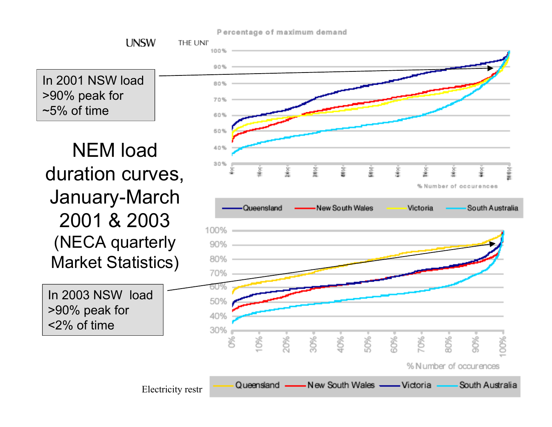Percentage of maximum demand

In 2001 NSW load >90% peak for  $~5\%$  of time

**LINSW** 

NEM load duration curves, January-March 2001 & 2003(NECA quarterly Market Statistics)

In 2003 NSW load >90% peak for <2% of time

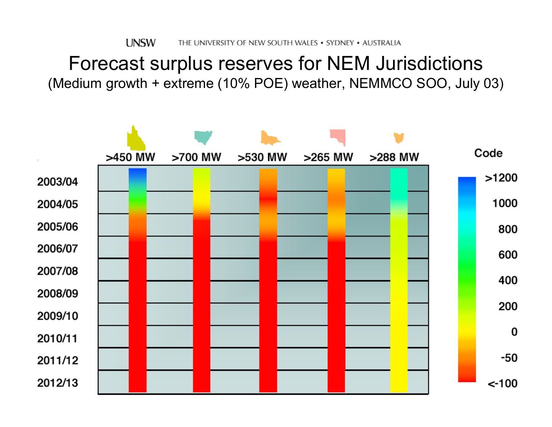#### Forecast surplus reserves for NEM Jurisdictions (Medium growth + extreme (10% POE) weather, NEMMCO SOO, July 03)

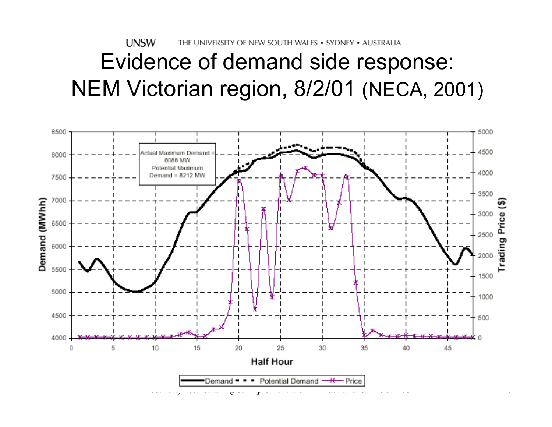**UNSW** THE UNIVERSITY OF NEW SOUTH WALES . SYDNEY . AUSTRALIA Evidence of demand side response: NEM Victorian region, 8/2/01 (NECA, 2001)

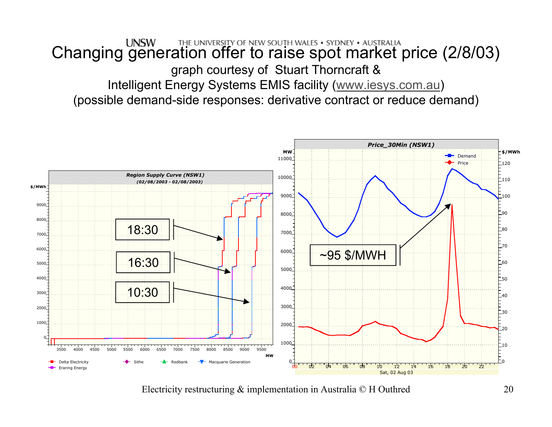#### UNSW THE UNIVERSITY OF NEW SOUTH WALES . SYDNEY . AUSTRALIA<br>Changing generation offer to raise spot market price (2/8/03) graph courtesy of Stuart Thorncraft & Intelligent Energy Systems EMIS facility ([www.iesys.com.au](http://www.iesys.com.au/))

(possible demand-side responses: derivative contract or reduce demand)

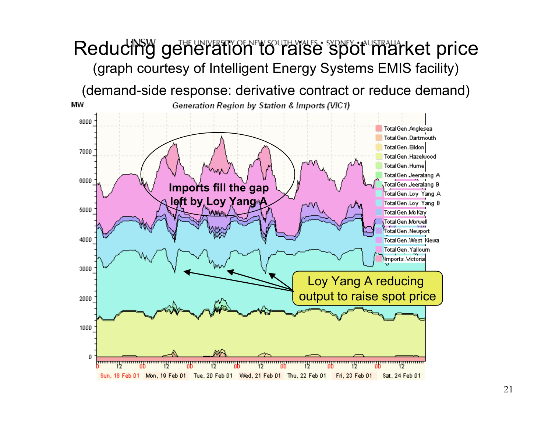